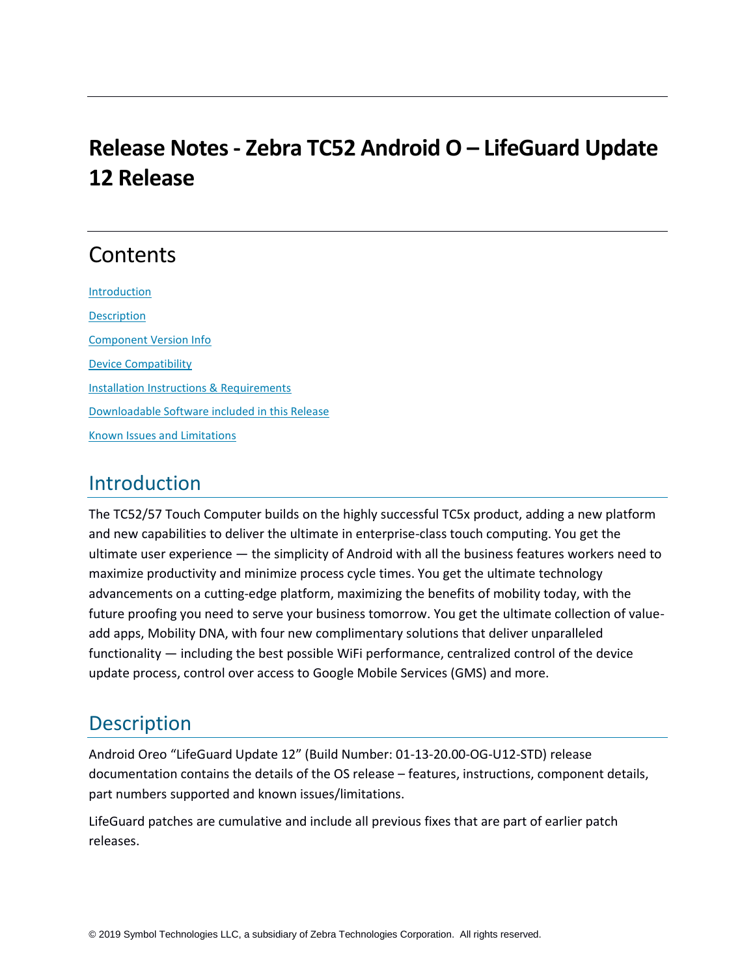# **Release Notes - Zebra TC52 Android O – LifeGuard Update 12 Release**

## **Contents**

**[Introduction](#page-0-0) [Description](#page-0-1)** [Component Version Info](#page-0-2) Device Compatibility [Installation Instructions & Requirements](#page-2-0) [Downloadable Software included in this Release](#page-2-1) [Known Issues and Limitations](#page-2-2)

### <span id="page-0-0"></span>Introduction

The TC52/57 Touch Computer builds on the highly successful TC5x product, adding a new platform and new capabilities to deliver the ultimate in enterprise-class touch computing. You get the ultimate user experience — the simplicity of Android with all the business features workers need to maximize productivity and minimize process cycle times. You get the ultimate technology advancements on a cutting-edge platform, maximizing the benefits of mobility today, with the future proofing you need to serve your business tomorrow. You get the ultimate collection of valueadd apps, Mobility DNA, with four new complimentary solutions that deliver unparalleled functionality — including the best possible WiFi performance, centralized control of the device update process, control over access to Google Mobile Services (GMS) and more.

## <span id="page-0-1"></span>**Description**

Android Oreo "LifeGuard Update 12" (Build Number: 01-13-20.00-OG-U12-STD) release documentation contains the details of the OS release – features, instructions, component details, part numbers supported and known issues/limitations.

<span id="page-0-2"></span>LifeGuard patches are cumulative and include all previous fixes that are part of earlier patch releases.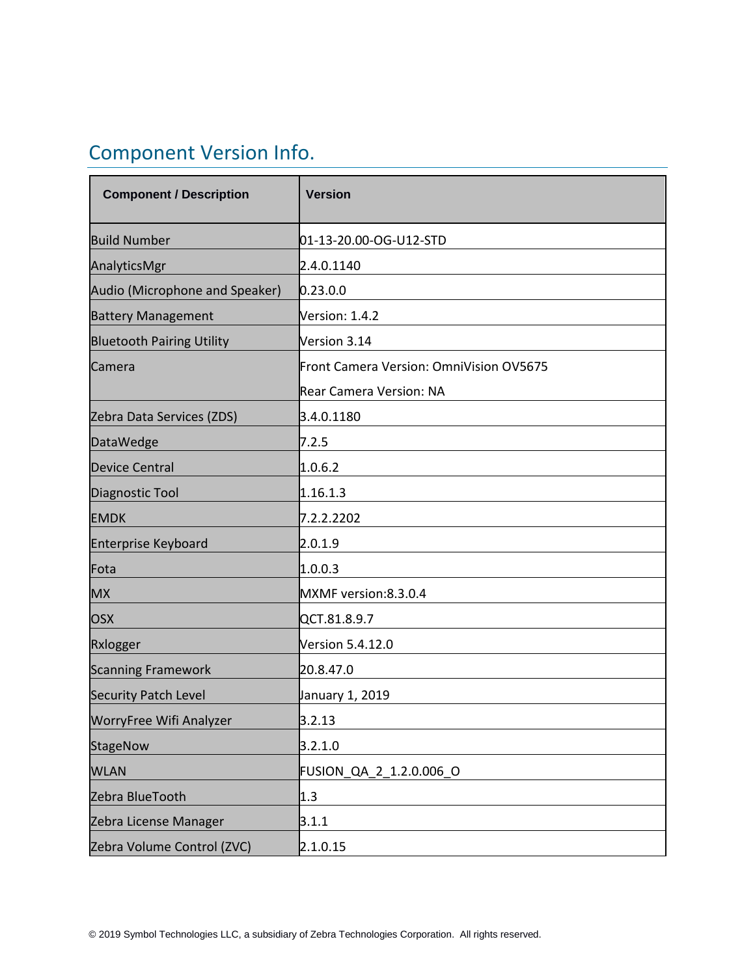# Component Version Info.

| <b>Component / Description</b>   | <b>Version</b>                          |
|----------------------------------|-----------------------------------------|
| <b>Build Number</b>              | 01-13-20.00-OG-U12-STD                  |
| AnalyticsMgr                     | 2.4.0.1140                              |
| Audio (Microphone and Speaker)   | 0.23.0.0                                |
| <b>Battery Management</b>        | Version: 1.4.2                          |
| <b>Bluetooth Pairing Utility</b> | Version 3.14                            |
| Camera                           | Front Camera Version: OmniVision OV5675 |
|                                  | <b>Rear Camera Version: NA</b>          |
| Zebra Data Services (ZDS)        | 3.4.0.1180                              |
| <b>DataWedge</b>                 | 7.2.5                                   |
| <b>Device Central</b>            | 1.0.6.2                                 |
| Diagnostic Tool                  | 1.16.1.3                                |
| <b>EMDK</b>                      | 7.2.2.2202                              |
| <b>Enterprise Keyboard</b>       | 2.0.1.9                                 |
| Fota                             | 1.0.0.3                                 |
| <b>MX</b>                        | MXMF version:8.3.0.4                    |
| <b>OSX</b>                       | QCT.81.8.9.7                            |
| Rxlogger                         | Version 5.4.12.0                        |
| <b>Scanning Framework</b>        | 20.8.47.0                               |
| <b>Security Patch Level</b>      | January 1, 2019                         |
| WorryFree Wifi Analyzer          | 3.2.13                                  |
| StageNow                         | 3.2.1.0                                 |
| <b>WLAN</b>                      | FUSION QA 2 1.2.0.006 O                 |
| Zebra BlueTooth                  | 1.3                                     |
| Zebra License Manager            | 3.1.1                                   |
| Zebra Volume Control (ZVC)       | 2.1.0.15                                |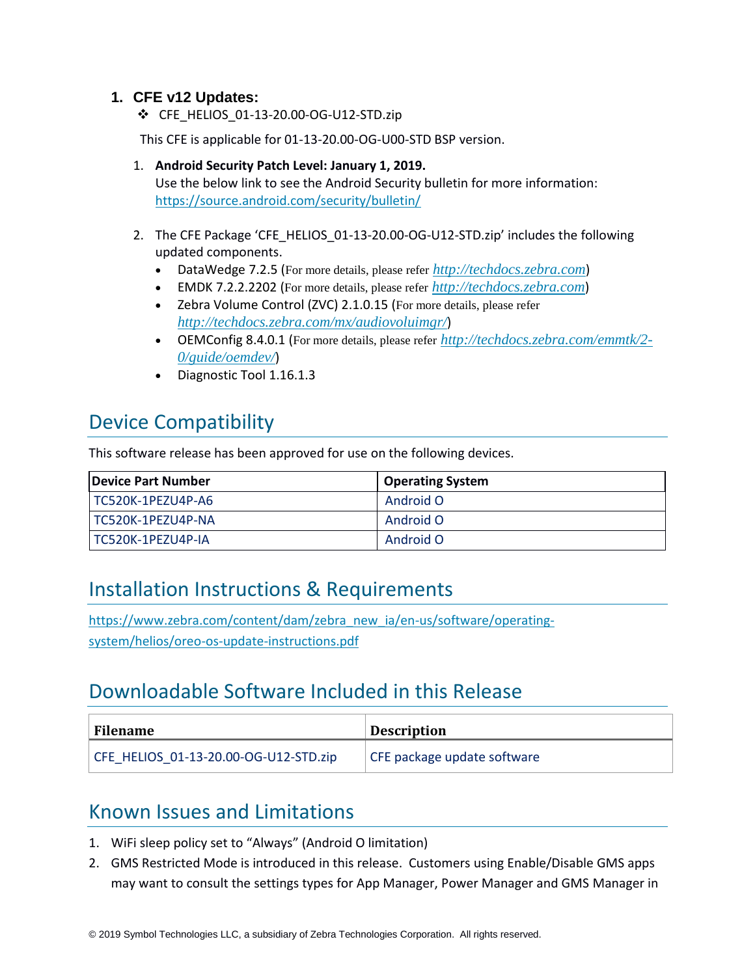#### **1. CFE v12 Updates:**

❖ CFE\_HELIOS\_01-13-20.00-OG-U12-STD.zip

This CFE is applicable for 01-13-20.00-OG-U00-STD BSP version.

- 1. **Android Security Patch Level: January 1, 2019.** Use the below link to see the Android Security bulletin for more information: <https://source.android.com/security/bulletin/>
- 2. The CFE Package 'CFE\_HELIOS\_01-13-20.00-OG-U12-STD.zip' includes the following updated components.
	- DataWedge 7.2.5 (For more details, please refer *[http://techdocs.zebra.com](http://techdocs.zebra.com/)*)
	- EMDK 7.2.2.2202 (For more details, please refer *[http://techdocs.zebra.com](http://techdocs.zebra.com/)*)
	- Zebra Volume Control (ZVC) 2.1.0.15 (For more details, please refer *<http://techdocs.zebra.com/mx/audiovoluimgr/>*)
	- OEMConfig 8.4.0.1 (For more details, please refer *[http://techdocs.zebra.com/emmtk/2-](http://techdocs.zebra.com/emmtk/2-0/guide/oemdev/) [0/guide/oemdev/](http://techdocs.zebra.com/emmtk/2-0/guide/oemdev/)*)
	- Diagnostic Tool 1.16.1.3

## Device Compatibility

This software release has been approved for use on the following devices.

| <b>IDevice Part Number</b> | <b>Operating System</b> |
|----------------------------|-------------------------|
| TC520K-1PEZU4P-A6          | Android O               |
| TC520K-1PEZU4P-NA          | Android O               |
| TC520K-1PEZU4P-IA          | Android O               |

## <span id="page-2-0"></span>Installation Instructions & Requirements

[https://www.zebra.com/content/dam/zebra\\_new\\_ia/en-us/software/operating](https://www.zebra.com/content/dam/zebra_new_ia/en-us/software/operating-system/helios/oreo-os-update-instructions.pdf)[system/helios/oreo-os-update-instructions.pdf](https://www.zebra.com/content/dam/zebra_new_ia/en-us/software/operating-system/helios/oreo-os-update-instructions.pdf)

## <span id="page-2-1"></span>Downloadable Software Included in this Release

| <b>Filename</b>                       | <b>Description</b>          |
|---------------------------------------|-----------------------------|
| CFE HELIOS 01-13-20.00-OG-U12-STD.zip | CFE package update software |

## <span id="page-2-2"></span>Known Issues and Limitations

- 1. WiFi sleep policy set to "Always" (Android O limitation)
- 2. GMS Restricted Mode is introduced in this release. Customers using Enable/Disable GMS apps may want to consult the settings types for App Manager, Power Manager and GMS Manager in